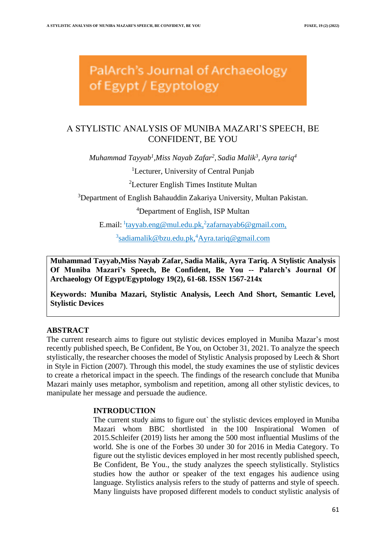PalArch's Journal of Archaeology of Egypt / Egyptology

# A STYLISTIC ANALYSIS OF MUNIBA MAZARI'S SPEECH, BE CONFIDENT, BE YOU

*Muhammad Tayyab<sup>1</sup> ,Miss Nayab Zafar<sup>2</sup> , Sadia Malik<sup>3</sup> , Ayra tariq<sup>4</sup>*

<sup>1</sup>Lecturer, University of Central Punjab

<sup>2</sup>Lecturer English Times Institute Multan

<sup>3</sup>Department of English Bahauddin Zakariya University, Multan Pakistan.

<sup>4</sup>Department of English, ISP Multan

E.mail: <sup>1</sup>[tayyab.eng@mul.edu.pk,](mailto:tayyab.eng@mul.edu.pk)<sup>2</sup>[zafarnayab6@gmail.com,](mailto:zafarnayab6@gmail.com)

<sup>3</sup>[sadiamalik@bzu.edu.pk,](mailto:sadiamalik@bzu.edu.pk)<sup>4</sup>[Ayra.tariq@gmail.com](mailto:Ayra.tariq@gmail.com)

**Muhammad Tayyab,Miss Nayab Zafar, Sadia Malik, Ayra Tariq. A Stylistic Analysis Of Muniba Mazari's Speech, Be Confident, Be You -- Palarch's Journal Of Archaeology Of Egypt/Egyptology 19(2), 61-68. ISSN 1567-214x**

**Keywords: Muniba Mazari, Stylistic Analysis, Leech And Short, Semantic Level, Stylistic Devices**

# **ABSTRACT**

The current research aims to figure out stylistic devices employed in Muniba Mazar's most recently published speech, Be Confident, Be You, on October 31, 2021. To analyze the speech stylistically, the researcher chooses the model of Stylistic Analysis proposed by Leech & Short in Style in Fiction (2007). Through this model, the study examines the use of stylistic devices to create a rhetorical impact in the speech. The findings of the research conclude that Muniba Mazari mainly uses metaphor, symbolism and repetition, among all other stylistic devices, to manipulate her message and persuade the audience.

# **INTRODUCTION**

The current study aims to figure out` the stylistic devices employed in Muniba Mazari whom BBC shortlisted in the [100 Inspirational Women of](https://en.wikipedia.org/wiki/100_Women_(BBC))  [2015.](https://en.wikipedia.org/wiki/100_Women_(BBC))Schleifer (2019) lists her among the 500 most influential Muslims of the world. She is one of the Forbes 30 under 30 for 2016 in Media Category. To figure out the stylistic devices employed in her most recently published speech, Be Confident, Be You., the study analyzes the speech stylistically. Stylistics studies how the author or speaker of the text engages his audience using language. Stylistics analysis refers to the study of patterns and style of speech. Many linguists have proposed different models to conduct stylistic analysis of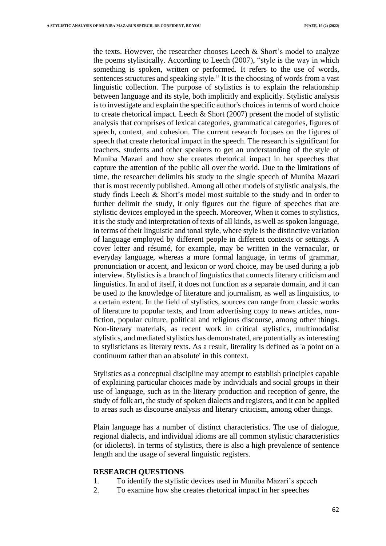the texts. However, the researcher chooses Leech  $\&$  Short's model to analyze the poems stylistically. According to Leech (2007), "style is the way in which something is spoken, written or performed. It refers to the use of words, sentences structures and speaking style." It is the choosing of words from a vast linguistic collection. The purpose of stylistics is to explain the relationship between language and its style, both implicitly and explicitly. Stylistic analysis is to investigate and explain the specific author's choices in terms of word choice to create rhetorical impact. Leech & Short (2007) present the model of stylistic analysis that comprises of lexical categories, grammatical categories, figures of speech, context, and cohesion. The current research focuses on the figures of speech that create rhetorical impact in the speech. The research is significant for teachers, students and other speakers to get an understanding of the style of Muniba Mazari and how she creates rhetorical impact in her speeches that capture the attention of the public all over the world. Due to the limitations of time, the researcher delimits his study to the single speech of Muniba Mazari that is most recently published. Among all other models of stylistic analysis, the study finds Leech & Short's model most suitable to the study and in order to further delimit the study, it only figures out the figure of speeches that are stylistic devices employed in the speech. Moreover, When it comes to stylistics, it is the study and interpretation of texts of all kinds, as well as spoken language, in terms of their linguistic and tonal style, where style is the distinctive variation of language employed by different people in different contexts or settings. A cover letter and résumé, for example, may be written in the vernacular, or everyday language, whereas a more formal language, in terms of grammar, pronunciation or accent, and lexicon or word choice, may be used during a job interview. Stylistics is a branch of linguistics that connects literary criticism and linguistics. In and of itself, it does not function as a separate domain, and it can be used to the knowledge of literature and journalism, as well as linguistics, to a certain extent. In the field of stylistics, sources can range from classic works of literature to popular texts, and from advertising copy to news articles, nonfiction, popular culture, political and religious discourse, among other things. Non-literary materials, as recent work in critical stylistics, multimodalist stylistics, and mediated stylistics has demonstrated, are potentially as interesting to stylisticians as literary texts. As a result, literality is defined as 'a point on a continuum rather than an absolute' in this context.

Stylistics as a conceptual discipline may attempt to establish principles capable of explaining particular choices made by individuals and social groups in their use of language, such as in the literary production and reception of genre, the study of folk art, the study of spoken dialects and registers, and it can be applied to areas such as discourse analysis and literary criticism, among other things.

Plain language has a number of distinct characteristics. The use of dialogue, regional dialects, and individual idioms are all common stylistic characteristics (or idiolects). In terms of stylistics, there is also a high prevalence of sentence length and the usage of several linguistic registers.

## **RESEARCH QUESTIONS**

- 1. To identify the stylistic devices used in Muniba Mazari's speech
- 2. To examine how she creates rhetorical impact in her speeches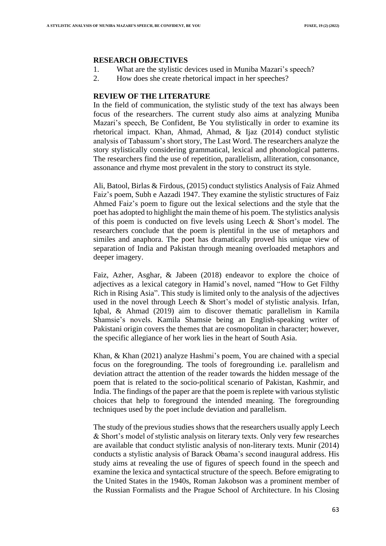## **RESEARCH OBJECTIVES**

- 1. What are the stylistic devices used in Muniba Mazari's speech?
- 2. How does she create rhetorical impact in her speeches?

# **REVIEW OF THE LITERATURE**

In the field of communication, the stylistic study of the text has always been focus of the researchers. The current study also aims at analyzing Muniba Mazari's speech, Be Confident, Be You stylistically in order to examine its rhetorical impact. Khan, Ahmad, Ahmad, & Ijaz (2014) conduct stylistic analysis of Tabassum's short story, The Last Word. The researchers analyze the story stylistically considering grammatical, lexical and phonological patterns. The researchers find the use of repetition, parallelism, alliteration, consonance, assonance and rhyme most prevalent in the story to construct its style.

Ali, Batool, Birlas & Firdous, (2015) conduct stylistics Analysis of Faiz Ahmed Faiz's poem, Subh e Aazadi 1947. They examine the stylistic structures of Faiz Ahmed Faiz's poem to figure out the lexical selections and the style that the poet has adopted to highlight the main theme of his poem. The stylistics analysis of this poem is conducted on five levels using Leech & Short's model. The researchers conclude that the poem is plentiful in the use of metaphors and similes and anaphora. The poet has dramatically proved his unique view of separation of India and Pakistan through meaning overloaded metaphors and deeper imagery.

Faiz, Azher, Asghar, & Jabeen (2018) endeavor to explore the choice of adjectives as a lexical category in Hamid's novel, named "How to Get Filthy Rich in Rising Asia". This study is limited only to the analysis of the adjectives used in the novel through Leech & Short's model of stylistic analysis. Irfan, Iqbal, & Ahmad (2019) aim to discover thematic parallelism in Kamila Shamsie's novels. Kamila Shamsie being an English-speaking writer of Pakistani origin covers the themes that are cosmopolitan in character; however, the specific allegiance of her work lies in the heart of South Asia.

Khan, & Khan (2021) analyze Hashmi's poem, You are chained with a special focus on the foregrounding. The tools of foregrounding i.e. parallelism and deviation attract the attention of the reader towards the hidden message of the poem that is related to the socio-political scenario of Pakistan, Kashmir, and India. The findings of the paper are that the poem is replete with various stylistic choices that help to foreground the intended meaning. The foregrounding techniques used by the poet include deviation and parallelism.

The study of the previous studies shows that the researchers usually apply Leech & Short's model of stylistic analysis on literary texts. Only very few researches are available that conduct stylistic analysis of non-literary texts. Munir (2014) conducts a stylistic analysis of Barack Obama's second inaugural address. His study aims at revealing the use of figures of speech found in the speech and examine the lexica and syntactical structure of the speech. Before emigrating to the United States in the 1940s, Roman Jakobson was a prominent member of the Russian Formalists and the Prague School of Architecture. In his Closing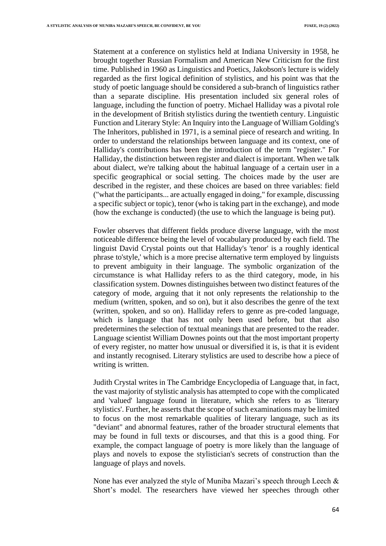Statement at a conference on stylistics held at Indiana University in 1958, he brought together Russian Formalism and American New Criticism for the first time. Published in 1960 as Linguistics and Poetics, Jakobson's lecture is widely regarded as the first logical definition of stylistics, and his point was that the study of poetic language should be considered a sub-branch of linguistics rather than a separate discipline. His presentation included six general roles of language, including the function of poetry. Michael Halliday was a pivotal role in the development of British stylistics during the twentieth century. Linguistic Function and Literary Style: An Inquiry into the Language of William Golding's The Inheritors, published in 1971, is a seminal piece of research and writing. In order to understand the relationships between language and its context, one of Halliday's contributions has been the introduction of the term "register." For Halliday, the distinction between register and dialect is important. When we talk about dialect, we're talking about the habitual language of a certain user in a specific geographical or social setting. The choices made by the user are described in the register, and these choices are based on three variables: field ("what the participants... are actually engaged in doing," for example, discussing a specific subject or topic), tenor (who is taking part in the exchange), and mode (how the exchange is conducted) (the use to which the language is being put).

Fowler observes that different fields produce diverse language, with the most noticeable difference being the level of vocabulary produced by each field. The linguist David Crystal points out that Halliday's 'tenor' is a roughly identical phrase to'style,' which is a more precise alternative term employed by linguists to prevent ambiguity in their language. The symbolic organization of the circumstance is what Halliday refers to as the third category, mode, in his classification system. Downes distinguishes between two distinct features of the category of mode, arguing that it not only represents the relationship to the medium (written, spoken, and so on), but it also describes the genre of the text (written, spoken, and so on). Halliday refers to genre as pre-coded language, which is language that has not only been used before, but that also predetermines the selection of textual meanings that are presented to the reader. Language scientist William Downes points out that the most important property of every register, no matter how unusual or diversified it is, is that it is evident and instantly recognised. Literary stylistics are used to describe how a piece of writing is written.

Judith Crystal writes in The Cambridge Encyclopedia of Language that, in fact, the vast majority of stylistic analysis has attempted to cope with the complicated and 'valued' language found in literature, which she refers to as 'literary stylistics'. Further, he asserts that the scope of such examinations may be limited to focus on the most remarkable qualities of literary language, such as its "deviant" and abnormal features, rather of the broader structural elements that may be found in full texts or discourses, and that this is a good thing. For example, the compact language of poetry is more likely than the language of plays and novels to expose the stylistician's secrets of construction than the language of plays and novels.

None has ever analyzed the style of Muniba Mazari's speech through Leech & Short's model. The researchers have viewed her speeches through other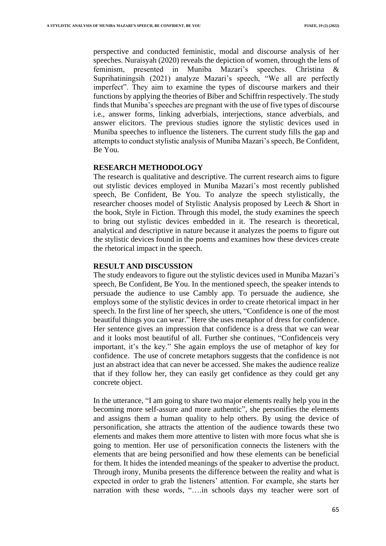perspective and conducted feministic, modal and discourse analysis of her speeches. Nuraisyah (2020) reveals the depiction of women, through the lens of feminism, presented in Muniba Mazari's speeches. Christina & Suprihatiningsih (2021) analyze Mazari's speech, "We all are perfectly imperfect". They aim to examine the types of discourse markers and their functions by applying the theories of Biber and Schiffrin respectively. The study finds that Muniba's speeches are pregnant with the use of five types of discourse i.e., answer forms, linking adverbials, interjections, stance adverbials, and answer elicitors. The previous studies ignore the stylistic devices used in Muniba speeches to influence the listeners. The current study fills the gap and attempts to conduct stylistic analysis of Muniba Mazari's speech, Be Confident, Be You.

## **RESEARCH METHODOLOGY**

The research is qualitative and descriptive. The current research aims to figure out stylistic devices employed in Muniba Mazari's most recently published speech, Be Confident, Be You. To analyze the speech stylistically, the researcher chooses model of Stylistic Analysis proposed by Leech & Short in the book, Style in Fiction. Through this model, the study examines the speech to bring out stylistic devices embedded in it. The research is theoretical, analytical and descriptive in nature because it analyzes the poems to figure out the stylistic devices found in the poems and examines how these devices create the rhetorical impact in the speech.

# **RESULT AND DISCUSSION**

The study endeavors to figure out the stylistic devices used in Muniba Mazari's speech, Be Confident, Be You. In the mentioned speech, the speaker intends to persuade the audience to use Cambly app. To persuade the audience, she employs some of the stylistic devices in order to create rhetorical impact in her speech. In the first line of her speech, she utters, "Confidence is one of the most beautiful things you can wear." Here she uses metaphor of dress for confidence. Her sentence gives an impression that confidence is a dress that we can wear and it looks most beautiful of all. Further she continues, "Confidenceis very important, it's the key." She again employs the use of metaphor of key for confidence. The use of concrete metaphors suggests that the confidence is not just an abstract idea that can never be accessed. She makes the audience realize that if they follow her, they can easily get confidence as they could get any concrete object.

In the utterance, "I am going to share two major elements really help you in the becoming more self-assure and more authentic", she personifies the elements and assigns them a human quality to help others. By using the device of personification, she attracts the attention of the audience towards these two elements and makes them more attentive to listen with more focus what she is going to mention. Her use of personification connects the listeners with the elements that are being personified and how these elements can be beneficial for them. It hides the intended meanings of the speaker to advertise the product. Through irony, Muniba presents the difference between the reality and what is expected in order to grab the listeners' attention. For example, she starts her narration with these words, "….in schools days my teacher were sort of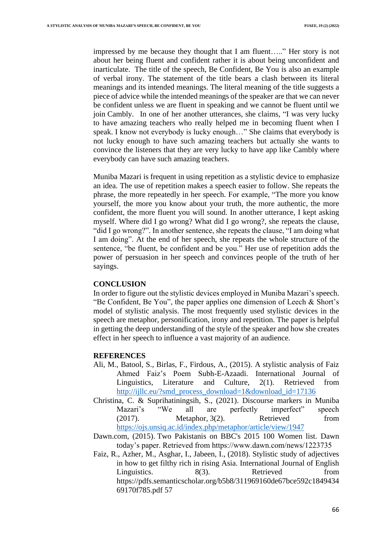impressed by me because they thought that I am fluent….." Her story is not about her being fluent and confident rather it is about being unconfident and inarticulate. The title of the speech, Be Confident, Be You is also an example of verbal irony. The statement of the title bears a clash between its literal meanings and its intended meanings. The literal meaning of the title suggests a piece of advice while the intended meanings of the speaker are that we can never be confident unless we are fluent in speaking and we cannot be fluent until we join Cambly. In one of her another utterances, she claims, "I was very lucky to have amazing teachers who really helped me in becoming fluent when I speak. I know not everybody is lucky enough…" She claims that everybody is not lucky enough to have such amazing teachers but actually she wants to convince the listeners that they are very lucky to have app like Cambly where everybody can have such amazing teachers.

Muniba Mazari is frequent in using repetition as a stylistic device to emphasize an idea. The use of repetition makes a speech easier to follow. She repeats the phrase, the more repeatedly in her speech. For example, "The more you know yourself, the more you know about your truth, the more authentic, the more confident, the more fluent you will sound. In another utterance, I kept asking myself. Where did I go wrong? What did I go wrong?, she repeats the clause, "did I go wrong?". In another sentence, she repeats the clause, "I am doing what I am doing". At the end of her speech, she repeats the whole structure of the sentence, "be fluent, be confident and be you." Her use of repetition adds the power of persuasion in her speech and convinces people of the truth of her sayings.

## **CONCLUSION**

In order to figure out the stylistic devices employed in Muniba Mazari's speech. "Be Confident, Be You", the paper applies one dimension of Leech & Short's model of stylistic analysis. The most frequently used stylistic devices in the speech are metaphor, personification, irony and repetition. The paper is helpful in getting the deep understanding of the style of the speaker and how she creates effect in her speech to influence a vast majority of an audience.

#### **REFERENCES**

- Ali, M., Batool, S., Birlas, F., Firdous, A., (2015). A stylistic analysis of Faiz Ahmed Faiz's Poem Subh-E-Azaadi. International Journal of Linguistics, Literature and Culture, 2(1). Retrieved from [http://ijllc.eu/?smd\\_process\\_download=1&download\\_id=17136](http://ijllc.eu/?smd_process_download=1&download_id=17136)
- Christina, C. & Suprihatiningsih, S., (2021). Discourse markers in Muniba Mazari's "We all are perfectly imperfect" speech (2017). Metaphor, 3(2). Retrieved from <https://ojs.unsiq.ac.id/index.php/metaphor/article/view/1947>
- Dawn.com, (2015). [Two Pakistanis on BBC's 2015 100 Women list.](http://www.dawn.com/news/1223735) Dawn today's paper. Retrieved from https://www.dawn.com/news/1223735
- Faiz, R., Azher, M., Asghar, I., Jabeen, I., (2018). Stylistic study of adjectives in how to get filthy rich in rising Asia. International Journal of English Linguistics. 8(3). Retrieved from https://pdfs.semanticscholar.org/b5b8/311969160de67bce592c1849434 69170f785.pdf 57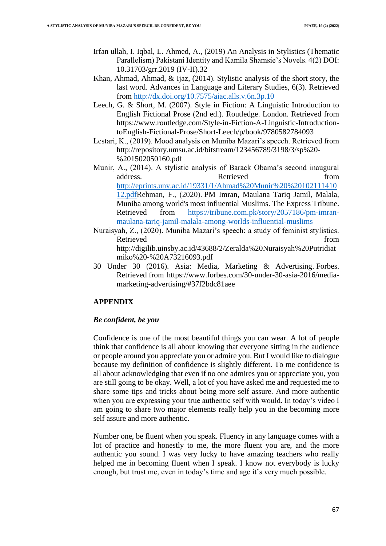- Irfan ullah, I. Iqbal, L. Ahmed, A., (2019) An Analysis in Stylistics (Thematic Parallelism) Pakistani Identity and Kamila Shamsie's Novels. 4(2) DOI: 10.31703/grr.2019 (IV-II).32
- Khan, Ahmad, Ahmad, & Ijaz, (2014). Stylistic analysis of the short story, the last word. Advances in Language and Literary Studies, 6(3). Retrieved from<http://dx.doi.org/10.7575/aiac.alls.v.6n.3p.10>
- Leech, G. & Short, M. (2007). Style in Fiction: A Linguistic Introduction to English Fictional Prose (2nd ed.). Routledge. London. Retrieved from https://www.routledge.com/Style-in-Fiction-A-Linguistic-IntroductiontoEnglish-Fictional-Prose/Short-Leech/p/book/9780582784093
- Lestari, K., (2019). Mood analysis on Muniba Mazari's speech. Retrieved from http://repository.umsu.ac.id/bitstream/123456789/3198/3/sp%20- %201502050160.pdf
- Munir, A., (2014). A stylistic analysis of Barack Obama's second inaugural address. Retrieved **from** [http://eprints.uny.ac.id/19331/1/Ahmad%20Munir%20%20102111410](http://eprints.uny.ac.id/19331/1/Ahmad%20Munir%20%2010211141012.pdf) [12.pdfR](http://eprints.uny.ac.id/19331/1/Ahmad%20Munir%20%2010211141012.pdf)ehman, F., (2020). [PM Imran, Maulana Tariq Jamil, Malala,](https://tribune.com.pk/story/2057186/1-pm-imran-maulana-tariq-jamil-malala-among-worlds-influential-muslims/?amp=1)  [Muniba among world's most influential Muslims.](https://tribune.com.pk/story/2057186/1-pm-imran-maulana-tariq-jamil-malala-among-worlds-influential-muslims/?amp=1) [The Express Tribune.](https://en.wikipedia.org/wiki/The_Express_Tribune) Retrieved from [https://tribune.com.pk/story/2057186/pm-imran](https://tribune.com.pk/story/2057186/pm-imran-maulana-tariq-jamil-malala-among-worlds-influential-muslims)[maulana-tariq-jamil-malala-among-worlds-influential-muslims](https://tribune.com.pk/story/2057186/pm-imran-maulana-tariq-jamil-malala-among-worlds-influential-muslims)
- Nuraisyah, Z., (2020). Muniba Mazari's speech: a study of feminist stylistics. Retrieved from the state of  $\sim$ http://digilib.uinsby.ac.id/43688/2/Zeralda%20Nuraisyah%20Putridiat miko%20-%20A73216093.pdf
- 30 Under 30 (2016). [Asia: Media, Marketing & Advertising.](https://www.forbes.com/30-under-30-asia-2016/media-marketing-advertising/) Forbes. Retrieved from https://www.forbes.com/30-under-30-asia-2016/mediamarketing-advertising/#37f2bdc81aee

# **APPENDIX**

# *Be confident, be you*

Confidence is one of the most beautiful things you can wear. A lot of people think that confidence is all about knowing that everyone sitting in the audience or people around you appreciate you or admire you. But I would like to dialogue because my definition of confidence is slightly different. To me confidence is all about acknowledging that even if no one admires you or appreciate you, you are still going to be okay. Well, a lot of you have asked me and requested me to share some tips and tricks about being more self assure. And more authentic when you are expressing your true authentic self with would. In today's video I am going to share two major elements really help you in the becoming more self assure and more authentic.

Number one, be fluent when you speak. Fluency in any language comes with a lot of practice and honestly to me, the more fluent you are, and the more authentic you sound. I was very lucky to have amazing teachers who really helped me in becoming fluent when I speak. I know not everybody is lucky enough, but trust me, even in today's time and age it's very much possible.